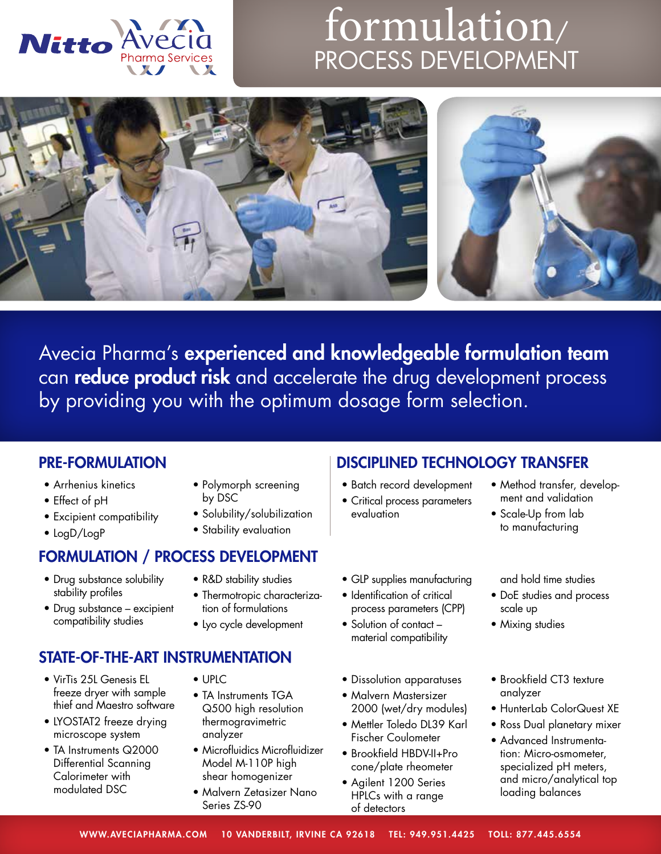

## formulation/ PROCESS DEVELOPMENT



Avecia Pharma's experienced and knowledgeable formulation team can reduce product risk and accelerate the drug development process by providing you with the optimum dosage form selection.

- Arrhenius kinetics
- Effect of pH
- Excipient compatibility
- LogD/LogP

## FORMULATION / PROCESS DEVELOPMENT

- Drug substance solubility stability profiles
- Drug substance excipient compatibility studies
- Polymorph screening by DSC
- Solubility/solubilization
- Stability evaluation
- R&D stability studies
- Thermotropic characterization of formulations
- Lyo cycle development

## STATE-OF-THE-ART INSTRUMENTATION

- VirTis 25L Genesis EL freeze dryer with sample thief and Maestro software
- LYOSTAT2 freeze drying microscope system
- TA Instruments Q2000 Differential Scanning Calorimeter with modulated DSC
- UPLC
- TA Instruments TGA Q500 high resolution thermogravimetric analyzer
- Microfluidics Microfluidizer Model M-110P high shear homogenizer
- Malvern Zetasizer Nano Series ZS-90

## PRE-FORMULATION DISCIPLINED TECHNOLOGY TRANSFER

- Batch record development
- Critical process parameters evaluation
- GLP supplies manufacturing
- Identification of critical process parameters (CPP)
- Solution of contact material compatibility
- Dissolution apparatuses
- Malvern Mastersizer
- 2000 (wet/dry modules) • Mettler Toledo DL39 Karl Fischer Coulometer
- Brookfield HBDV-II+Pro cone/plate rheometer
- Agilent 1200 Series HPLCs with a range of detectors
- Method transfer, development and validation
- Scale-Up from lab to manufacturing

and hold time studies

- DoE studies and process scale up
- Mixing studies
- Brookfield CT3 texture analyzer
- HunterLab ColorQuest XE
- Ross Dual planetary mixer
- Advanced Instrumentation: Micro-osmometer, specialized pH meters, and micro/analytical top loading balances